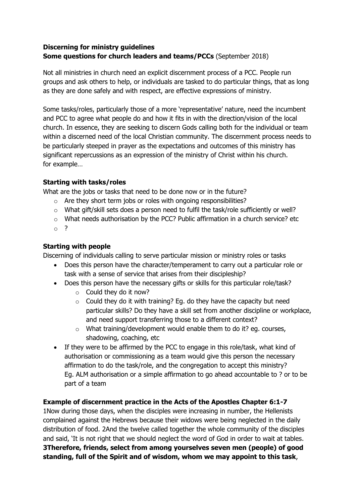# **Discerning for ministry guidelines Some questions for church leaders and teams/PCCs** (September 2018)

Not all ministries in church need an explicit discernment process of a PCC. People run groups and ask others to help, or individuals are tasked to do particular things, that as long as they are done safely and with respect, are effective expressions of ministry.

Some tasks/roles, particularly those of a more 'representative' nature, need the incumbent and PCC to agree what people do and how it fits in with the direction/vision of the local church. In essence, they are seeking to discern Gods calling both for the individual or team within a discerned need of the local Christian community. The discernment process needs to be particularly steeped in prayer as the expectations and outcomes of this ministry has significant repercussions as an expression of the ministry of Christ within his church. for example…

### **Starting with tasks/roles**

What are the jobs or tasks that need to be done now or in the future?

- $\circ$  Are they short term jobs or roles with ongoing responsibilities?
- $\circ$  What gift/skill sets does a person need to fulfil the task/role sufficiently or well?
- o What needs authorisation by the PCC? Public affirmation in a church service? etc
- o ?

# **Starting with people**

Discerning of individuals calling to serve particular mission or ministry roles or tasks

- Does this person have the character/temperament to carry out a particular role or task with a sense of service that arises from their discipleship?
- Does this person have the necessary gifts or skills for this particular role/task?
	- $\circ$  Could they do it now?
	- $\circ$  Could they do it with training? Eg. do they have the capacity but need particular skills? Do they have a skill set from another discipline or workplace, and need support transferring those to a different context?
	- o What training/development would enable them to do it? eg. courses, shadowing, coaching, etc
- If they were to be affirmed by the PCC to engage in this role/task, what kind of authorisation or commissioning as a team would give this person the necessary affirmation to do the task/role, and the congregation to accept this ministry? Eg. ALM authorisation or a simple affirmation to go ahead accountable to ? or to be part of a team

#### **Example of discernment practice in the Acts of the Apostles Chapter 6:1-7**

1Now during those days, when the disciples were increasing in number, the Hellenists complained against the Hebrews because their widows were being neglected in the daily distribution of food. 2And the twelve called together the whole community of the disciples and said, 'It is not right that we should neglect the word of God in order to wait at tables. **3Therefore, friends, select from among yourselves seven men (people) of good standing, full of the Spirit and of wisdom, whom we may appoint to this task**,